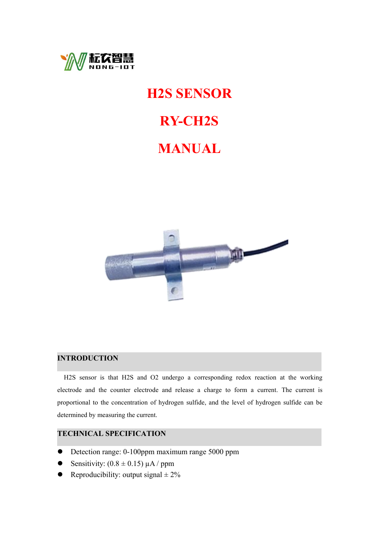

### **H2S SENSOR**

# **RY-CH2S**

# **MANUAL**



#### **INTRODUCTION**

H2S sensor is that H2S and O2 undergo a corresponding redox reaction at the working electrode and the counter electrode and release a charge to form a current. The current is proportional to the concentration of hydrogen sulfide, and the level of hydrogen sulfide can be determined by measuring the current.

#### **TECHNICAL SPECIFICATION**

- Detection range: 0-100ppm maximum range 5000 ppm
- Sensitivity:  $(0.8 \pm 0.15) \mu A$  / ppm
- Reproducibility: output signal  $\pm 2\%$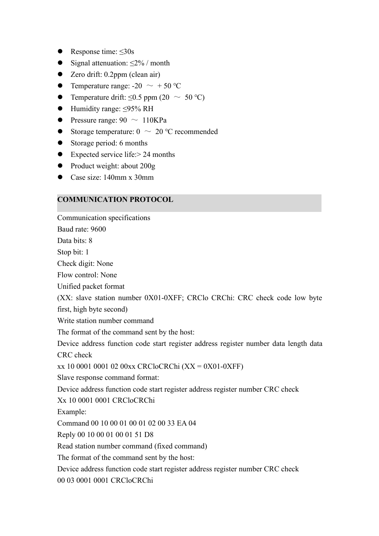- Response time:  $\leq 30s$
- Signal attenuation:  $\leq$ 2% / month
- Zero drift: 0.2ppm (clean air)
- Temperature range:  $-20 \sim +50$  °C
- Temperature drift:  $\leq 0.5$  ppm (20  $\sim 50$  °C)
- Humidity range: ≤95% RH
- Pressure range:  $90 \sim 110 \text{KPa}$
- Storage temperature:  $0 \sim 20$  °C recommended
- Storage period: 6 months
- $\bullet$  Expected service life: > 24 months
- Product weight: about 200g
- Case size: 140mm x 30mm

#### **COMMUNICATION PROTOCOL**

Communication specifications Baud rate: 9600 Data bits: 8 Stop bit: 1 Check digit: None Flow control: None Unified packet format (XX: slave station number 0X01-0XFF; CRClo CRChi: CRC check code low byte first, high byte second) Write station number command The format of the command sent by the host: Device address function code start register address register number data length data CRC check xx 10 0001 0001 02 00xx CRCloCRChi (XX = 0X01-0XFF) Slave response command format: Device address function code start register address register number CRC check Xx 10 0001 0001 CRCloCRChi Example: Command 00 10 00 01 00 01 02 00 33 EA 04 Reply 00 10 00 01 00 01 51 D8 Read station number command (fixed command) The format of the command sent by the host: Device address function code start register address register number CRC check 00 03 0001 0001 CRCloCRChi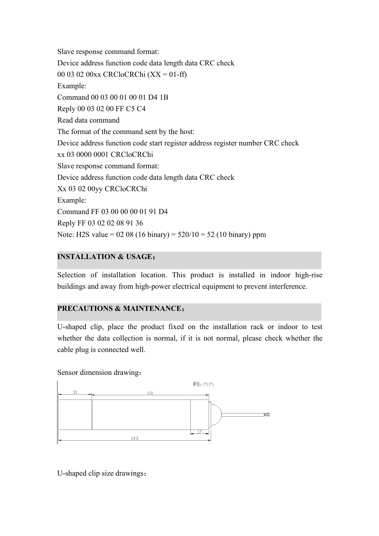Slave response command format: Device address function code data length data CRC check 00 03 02 00xx CRCloCRChi (XX = 01-ff) Example: Command 00 03 00 01 00 01 D4 1B Reply 00 03 02 00 FF C5 C4 Read data command The format of the command sent by the host: Device address function code start register address register number CRC check xx 03 0000 0001 CRCloCRChi Slave response command format: Device address function code data length data CRC check Xx 03 02 00yy CRCloCRChi Example: Command FF 03 00 00 00 01 91 D4 Reply FF 03 02 02 08 91 36 Note: H2S value =  $0208(16 \text{ binary}) = 520/10 = 52(10 \text{ binary})$  ppm

#### **INSTALLATION & USAGE**:

Selection of installation location. This product is installed in indoor high-rise buildings and away from high-power electrical equipment to prevent interference.

#### **PRECAUTIONS & MAINTENANCE**:

U-shaped clip, place the product fixed on the installation rack or indoor to test whether the data collection is normal, if it is not normal, please check whether the cable plug is connected well.

Sensor dimension drawing:



U-shaped clip size drawings: